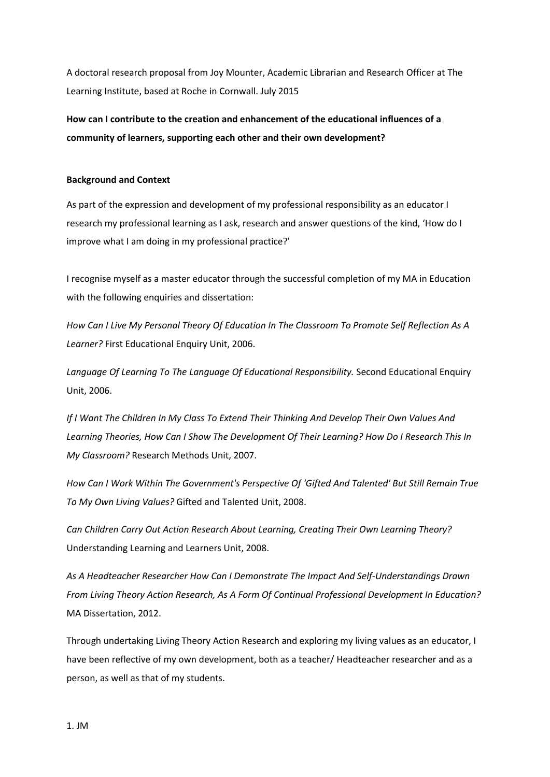A doctoral research proposal from Joy Mounter, Academic Librarian and Research Officer at The Learning Institute, based at Roche in Cornwall. July 2015

**How can I contribute to the creation and enhancement of the educational influences of a community of learners, supporting each other and their own development?**

#### **Background and Context**

As part of the expression and development of my professional responsibility as an educator I research my professional learning as I ask, research and answer questions of the kind, 'How do I improve what I am doing in my professional practice?'

I recognise myself as a master educator through the successful completion of my MA in Education with the following enquiries and dissertation:

*How Can I Live My Personal Theory Of Education In The Classroom To Promote Self Reflection As A Learner?* First Educational Enquiry Unit, 2006.

*Language Of Learning To The Language Of Educational Responsibility.* Second Educational Enquiry Unit, 2006.

*If I Want The Children In My Class To Extend Their Thinking And Develop Their Own Values And Learning Theories, How Can I Show The Development Of Their Learning? How Do I Research This In My Classroom?* Research Methods Unit, 2007.

*How Can I Work Within The Government's Perspective Of 'Gifted And Talented' But Still Remain True To My Own Living Values?* Gifted and Talented Unit, 2008.

*Can Children Carry Out Action Research About Learning, Creating Their Own Learning Theory?* Understanding Learning and Learners Unit, 2008.

*As A Headteacher Researcher How Can I Demonstrate The Impact And Self-Understandings Drawn From Living Theory Action Research, As A Form Of Continual Professional Development In Education?* MA Dissertation, 2012.

Through undertaking Living Theory Action Research and exploring my living values as an educator, I have been reflective of my own development, both as a teacher/ Headteacher researcher and as a person, as well as that of my students.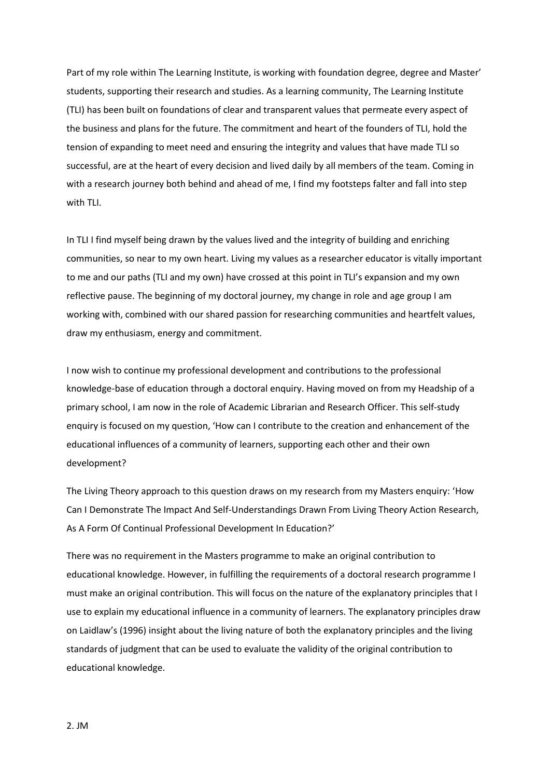Part of my role within The Learning Institute, is working with foundation degree, degree and Master' students, supporting their research and studies. As a learning community, The Learning Institute (TLI) has been built on foundations of clear and transparent values that permeate every aspect of the business and plans for the future. The commitment and heart of the founders of TLI, hold the tension of expanding to meet need and ensuring the integrity and values that have made TLI so successful, are at the heart of every decision and lived daily by all members of the team. Coming in with a research journey both behind and ahead of me, I find my footsteps falter and fall into step with TLI.

In TLI I find myself being drawn by the values lived and the integrity of building and enriching communities, so near to my own heart. Living my values as a researcher educator is vitally important to me and our paths (TLI and my own) have crossed at this point in TLI's expansion and my own reflective pause. The beginning of my doctoral journey, my change in role and age group I am working with, combined with our shared passion for researching communities and heartfelt values, draw my enthusiasm, energy and commitment.

I now wish to continue my professional development and contributions to the professional knowledge-base of education through a doctoral enquiry. Having moved on from my Headship of a primary school, I am now in the role of Academic Librarian and Research Officer. This self-study enquiry is focused on my question, 'How can I contribute to the creation and enhancement of the educational influences of a community of learners, supporting each other and their own development?

The Living Theory approach to this question draws on my research from my Masters enquiry: 'How Can I Demonstrate The Impact And Self-Understandings Drawn From Living Theory Action Research, As A Form Of Continual Professional Development In Education?'

There was no requirement in the Masters programme to make an original contribution to educational knowledge. However, in fulfilling the requirements of a doctoral research programme I must make an original contribution. This will focus on the nature of the explanatory principles that I use to explain my educational influence in a community of learners. The explanatory principles draw on Laidlaw's (1996) insight about the living nature of both the explanatory principles and the living standards of judgment that can be used to evaluate the validity of the original contribution to educational knowledge.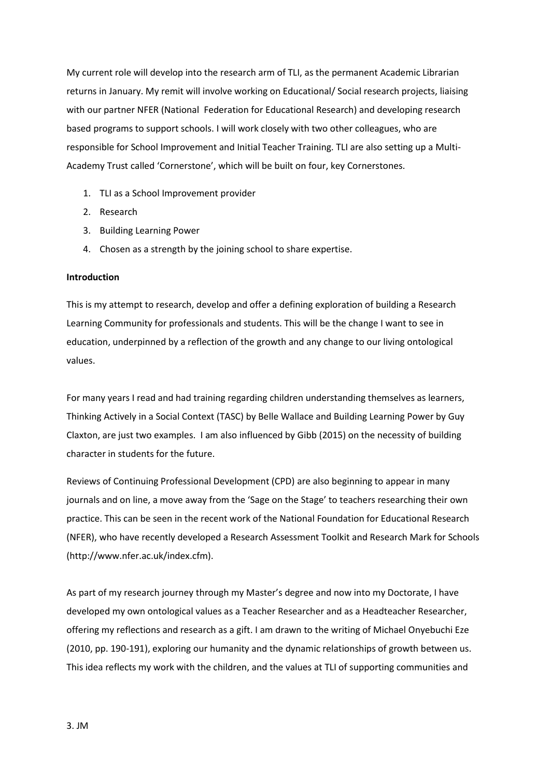My current role will develop into the research arm of TLI, as the permanent Academic Librarian returns in January. My remit will involve working on Educational/ Social research projects, liaising with our partner NFER (National Federation for Educational Research) and developing research based programs to support schools. I will work closely with two other colleagues, who are responsible for School Improvement and Initial Teacher Training. TLI are also setting up a Multi-Academy Trust called 'Cornerstone', which will be built on four, key Cornerstones.

- 1. TLI as a School Improvement provider
- 2. Research
- 3. Building Learning Power
- 4. Chosen as a strength by the joining school to share expertise.

#### **Introduction**

This is my attempt to research, develop and offer a defining exploration of building a Research Learning Community for professionals and students. This will be the change I want to see in education, underpinned by a reflection of the growth and any change to our living ontological values.

For many years I read and had training regarding children understanding themselves as learners, Thinking Actively in a Social Context (TASC) by Belle Wallace and Building Learning Power by Guy Claxton, are just two examples. I am also influenced by Gibb (2015) on the necessity of building character in students for the future.

Reviews of Continuing Professional Development (CPD) are also beginning to appear in many journals and on line, a move away from the 'Sage on the Stage' to teachers researching their own practice. This can be seen in the recent work of the National Foundation for Educational Research (NFER), who have recently developed a Research Assessment Toolkit and Research Mark for Schools (http://www.nfer.ac.uk/index.cfm).

As part of my research journey through my Master's degree and now into my Doctorate, I have developed my own ontological values as a Teacher Researcher and as a Headteacher Researcher, offering my reflections and research as a gift. I am drawn to the writing of Michael Onyebuchi Eze (2010, pp. 190-191), exploring our humanity and the dynamic relationships of growth between us. This idea reflects my work with the children, and the values at TLI of supporting communities and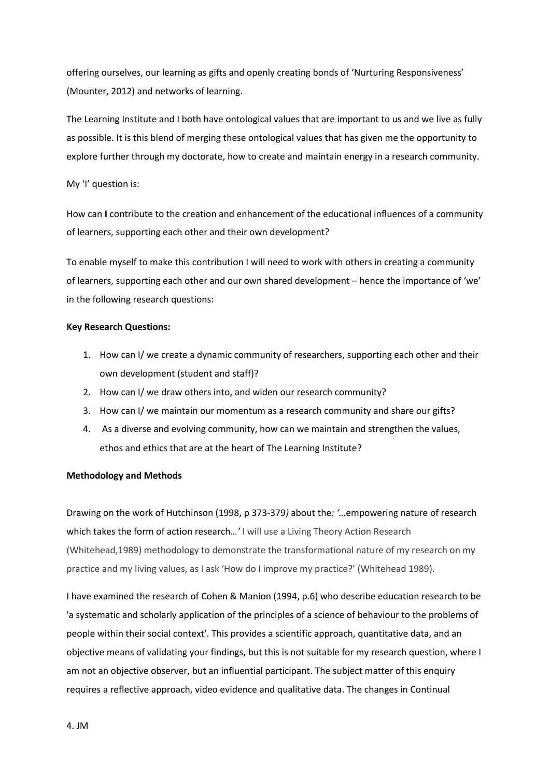offering ourselves, our learning as gifts and openly creating bonds of 'Nurturing Responsiveness' (Mounter, 2012) and networks of learning.

The Learning Institute and I both have ontological values that are important to us and we live as fully as possible. It is this blend of merging these ontological values that has given me the opportunity to explore further through my doctorate, how to create and maintain energy in a research community.

## My 'I' question is:

How can **I** contribute to the creation and enhancement of the educational influences of a community of learners, supporting each other and their own development?

To enable myself to make this contribution I will need to work with others in creating a community of learners, supporting each other and our own shared development – hence the importance of 'we' in the following research questions:

# **Key Research Questions:**

- 1. How can I/ we create a dynamic community of researchers, supporting each other and their own development (student and staff)?
- 2. How can I/ we draw others into, and widen our research community?
- 3. How can I/ we maintain our momentum as a research community and share our gifts?
- 4. As a diverse and evolving community, how can we maintain and strengthen the values, ethos and ethics that are at the heart of The Learning Institute?

### **Methodology and Methods**

Drawing on the work of Hutchinson (1998, p 373-379*)* about the*: '…*empowering nature of research which takes the form of action research…*'* I will use a Living Theory Action Research (Whitehead,1989) methodology to demonstrate the transformational nature of my research on my practice and my living values, as I ask 'How do I improve my practice?' (Whitehead 1989).

I have examined the research of Cohen & Manion (1994, p.6) who describe education research to be 'a systematic and scholarly application of the principles of a science of behaviour to the problems of people within their social context'. This provides a scientific approach, quantitative data, and an objective means of validating your findings, but this is not suitable for my research question, where I am not an objective observer, but an influential participant. The subject matter of this enquiry requires a reflective approach, video evidence and qualitative data. The changes in Continual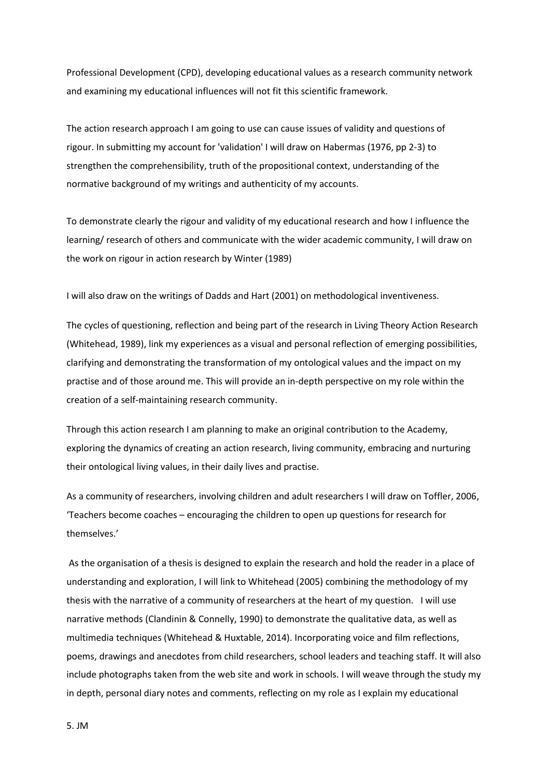Professional Development (CPD), developing educational values as a research community network and examining my educational influences will not fit this scientific framework.

The action research approach I am going to use can cause issues of validity and questions of rigour. In submitting my account for 'validation' I will draw on Habermas (1976, pp 2-3) to strengthen the comprehensibility, truth of the propositional context, understanding of the normative background of my writings and authenticity of my accounts.

To demonstrate clearly the rigour and validity of my educational research and how I influence the learning/ research of others and communicate with the wider academic community, I will draw on the work on rigour in action research by Winter (1989)

I will also draw on the writings of Dadds and Hart (2001) on methodological inventiveness.

The cycles of questioning, reflection and being part of the research in Living Theory Action Research (Whitehead, 1989), link my experiences as a visual and personal reflection of emerging possibilities, clarifying and demonstrating the transformation of my ontological values and the impact on my practise and of those around me. This will provide an in-depth perspective on my role within the creation of a self-maintaining research community.

Through this action research I am planning to make an original contribution to the Academy, exploring the dynamics of creating an action research, living community, embracing and nurturing their ontological living values, in their daily lives and practise.

As a community of researchers, involving children and adult researchers I will draw on Toffler, 2006, 'Teachers become coaches – encouraging the children to open up questions for research for themselves.'

As the organisation of a thesis is designed to explain the research and hold the reader in a place of understanding and exploration, I will link to Whitehead (2005) combining the methodology of my thesis with the narrative of a community of researchers at the heart of my question. I will use narrative methods (Clandinin & Connelly, 1990) to demonstrate the qualitative data, as well as multimedia techniques (Whitehead & Huxtable, 2014). Incorporating voice and film reflections, poems, drawings and anecdotes from child researchers, school leaders and teaching staff. It will also include photographs taken from the web site and work in schools. I will weave through the study my in depth, personal diary notes and comments, reflecting on my role as I explain my educational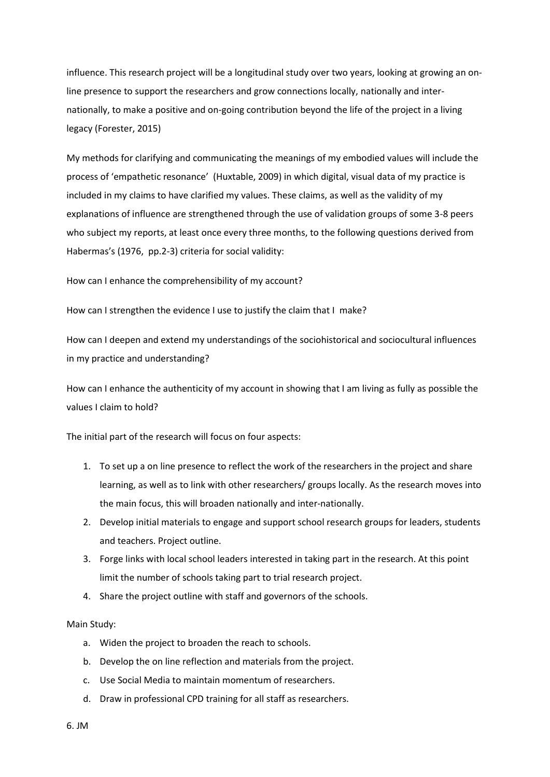influence. This research project will be a longitudinal study over two years, looking at growing an online presence to support the researchers and grow connections locally, nationally and internationally, to make a positive and on-going contribution beyond the life of the project in a living legacy (Forester, 2015)

My methods for clarifying and communicating the meanings of my embodied values will include the process of 'empathetic resonance' (Huxtable, 2009) in which digital, visual data of my practice is included in my claims to have clarified my values. These claims, as well as the validity of my explanations of influence are strengthened through the use of validation groups of some 3-8 peers who subject my reports, at least once every three months, to the following questions derived from Habermas's (1976, pp.2-3) criteria for social validity:

How can I enhance the comprehensibility of my account?

How can I strengthen the evidence I use to justify the claim that I make?

How can I deepen and extend my understandings of the sociohistorical and sociocultural influences in my practice and understanding?

How can I enhance the authenticity of my account in showing that I am living as fully as possible the values I claim to hold?

The initial part of the research will focus on four aspects:

- 1. To set up a on line presence to reflect the work of the researchers in the project and share learning, as well as to link with other researchers/ groups locally. As the research moves into the main focus, this will broaden nationally and inter-nationally.
- 2. Develop initial materials to engage and support school research groups for leaders, students and teachers. Project outline.
- 3. Forge links with local school leaders interested in taking part in the research. At this point limit the number of schools taking part to trial research project.
- 4. Share the project outline with staff and governors of the schools.

#### Main Study:

- a. Widen the project to broaden the reach to schools.
- b. Develop the on line reflection and materials from the project.
- c. Use Social Media to maintain momentum of researchers.
- d. Draw in professional CPD training for all staff as researchers.

6. JM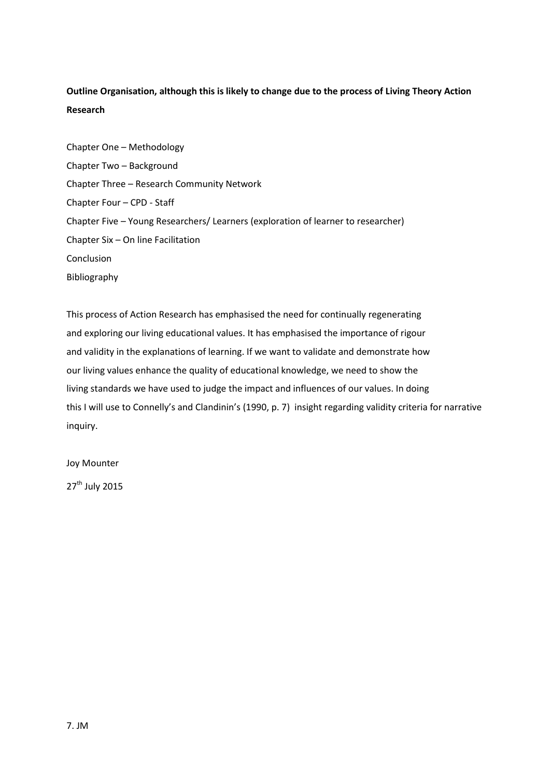# **Outline Organisation, although this is likely to change due to the process of Living Theory Action Research**

Chapter One – Methodology Chapter Two – Background Chapter Three – Research Community Network Chapter Four – CPD - Staff Chapter Five – Young Researchers/ Learners (exploration of learner to researcher) Chapter Six – On line Facilitation Conclusion Bibliography

This process of Action Research has emphasised the need for continually regenerating and exploring our living educational values. It has emphasised the importance of rigour and validity in the explanations of learning. If we want to validate and demonstrate how our living values enhance the quality of educational knowledge, we need to show the living standards we have used to judge the impact and influences of our values. In doing this I will use to Connelly's and Clandinin's (1990, p. 7) insight regarding validity criteria for narrative inquiry.

Joy Mounter

27<sup>th</sup> July 2015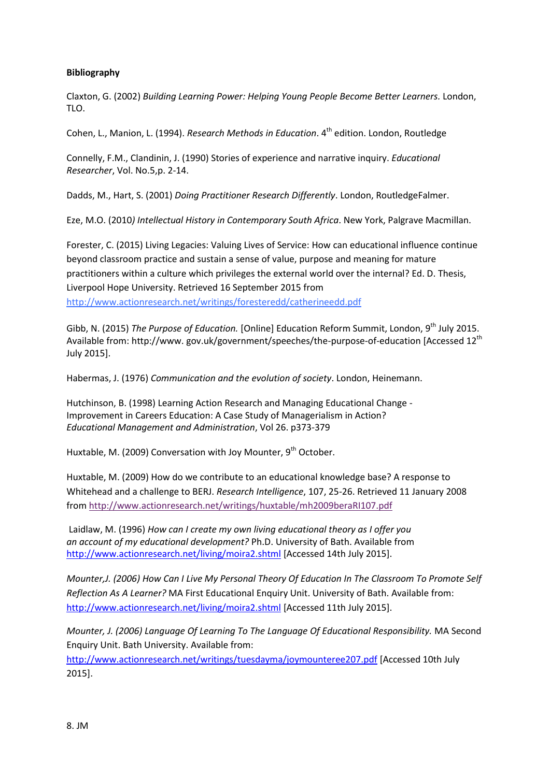# **Bibliography**

Claxton, G. (2002) *Building Learning Power: Helping Young People Become Better Learners.* London, TLO.

Cohen, L., Manion, L. (1994). *Research Methods in Education*. 4<sup>th</sup> edition. London, Routledge

Connelly, F.M., Clandinin, J. (1990) Stories of experience and narrative inquiry. *Educational Researcher*, Vol. No.5,p. 2-14.

Dadds, M., Hart, S. (2001) *Doing Practitioner Research Differently*. London, RoutledgeFalmer.

Eze, M.O. (2010*) Intellectual History in Contemporary South Africa*. New York, Palgrave Macmillan.

Forester, C. (2015) Living Legacies: Valuing Lives of Service: How can educational influence continue beyond classroom practice and sustain a sense of value, purpose and meaning for mature practitioners within a culture which privileges the external world over the internal? Ed. D. Thesis, Liverpool Hope University. Retrieved 16 September 2015 from <http://www.actionresearch.net/writings/foresteredd/catherineedd.pdf>

Gibb, N. (2015) *The Purpose of Education.* [Online] Education Reform Summit, London, 9th July 2015. Available from: http://www. gov.uk/government/speeches/the-purpose-of-education [Accessed 12<sup>th</sup> July 2015].

Habermas, J. (1976) *Communication and the evolution of society*. London, Heinemann.

Hutchinson, B. (1998) Learning Action Research and Managing Educational Change - Improvement in Careers Education: A Case Study of Managerialism in Action? *Educational Management and Administration*, Vol 26. p373-379

Huxtable, M. (2009) Conversation with Joy Mounter,  $9<sup>th</sup>$  October.

Huxtable, M. (2009) How do we contribute to an educational knowledge base? A response to Whitehead and a challenge to BERJ. *Research Intelligence*, 107, 25-26. Retrieved 11 January 2008 from <http://www.actionresearch.net/writings/huxtable/mh2009beraRI107.pdf>

Laidlaw, M. (1996) *How can I create my own living educational theory as I offer you an account of my educational development?* Ph.D. University of Bath. Available from <http://www.actionresearch.net/living/moira2.shtml> [Accessed 14th July 2015].

*Mounter,J. (2006) How Can I Live My Personal Theory Of Education In The Classroom To Promote Self Reflection As A Learner?* MA First Educational Enquiry Unit. University of Bath. Available from: <http://www.actionresearch.net/living/moira2.shtml> [Accessed 11th July 2015].

*Mounter, J. (2006) Language Of Learning To The Language Of Educational Responsibility.* MA Second Enquiry Unit. Bath University. Available from:

<http://www.actionresearch.net/writings/tuesdayma/joymounteree207.pdf> [Accessed 10th July 2015].